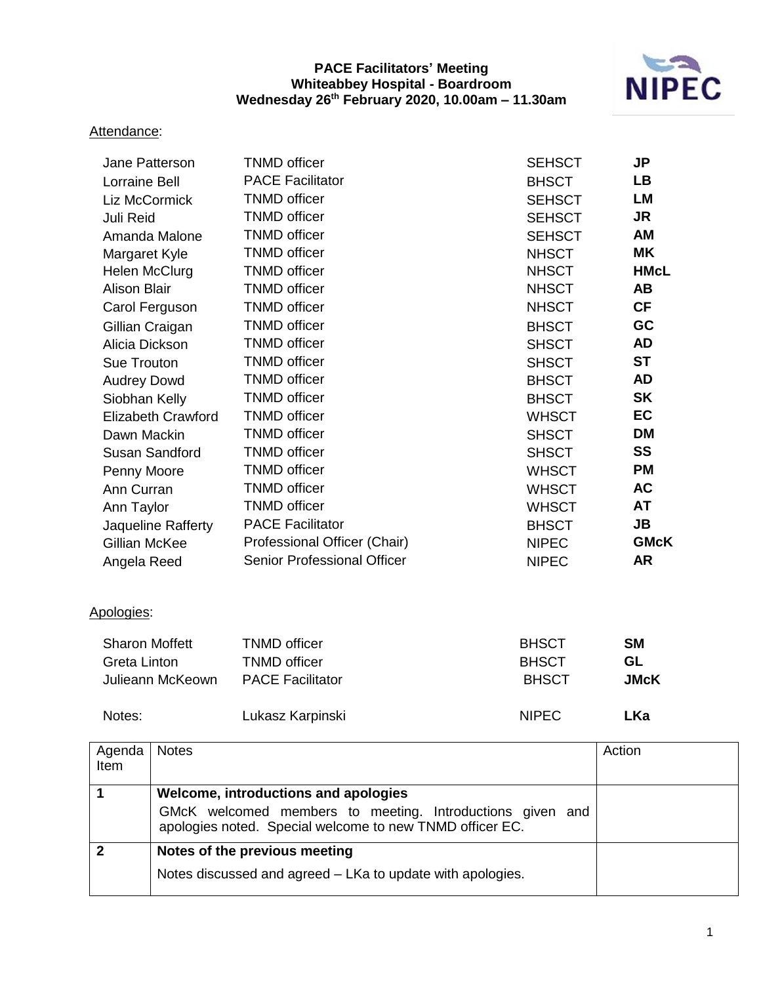## **PACE Facilitators' Meeting Whiteabbey Hospital - Boardroom Wednesday 26th February 2020, 10.00am – 11.30am**



## Attendance:

| Jane Patterson            | <b>TNMD</b> officer          | <b>SEHSCT</b> | <b>JP</b>   |
|---------------------------|------------------------------|---------------|-------------|
| <b>Lorraine Bell</b>      | <b>PACE Facilitator</b>      | <b>BHSCT</b>  | <b>LB</b>   |
| Liz McCormick             | <b>TNMD</b> officer          | <b>SEHSCT</b> | <b>LM</b>   |
| Juli Reid                 | <b>TNMD</b> officer          | <b>SEHSCT</b> | <b>JR</b>   |
| Amanda Malone             | <b>TNMD</b> officer          | <b>SEHSCT</b> | AM          |
| Margaret Kyle             | <b>TNMD</b> officer          | <b>NHSCT</b>  | <b>MK</b>   |
| Helen McClurg             | <b>TNMD</b> officer          | <b>NHSCT</b>  | <b>HMcL</b> |
| <b>Alison Blair</b>       | <b>TNMD</b> officer          | <b>NHSCT</b>  | <b>AB</b>   |
| Carol Ferguson            | <b>TNMD</b> officer          | <b>NHSCT</b>  | <b>CF</b>   |
| Gillian Craigan           | <b>TNMD</b> officer          | <b>BHSCT</b>  | GC          |
| Alicia Dickson            | <b>TNMD</b> officer          | <b>SHSCT</b>  | <b>AD</b>   |
| Sue Trouton               | <b>TNMD</b> officer          | <b>SHSCT</b>  | <b>ST</b>   |
| <b>Audrey Dowd</b>        | <b>TNMD</b> officer          | <b>BHSCT</b>  | <b>AD</b>   |
| Siobhan Kelly             | <b>TNMD</b> officer          | <b>BHSCT</b>  | <b>SK</b>   |
| <b>Elizabeth Crawford</b> | <b>TNMD</b> officer          | <b>WHSCT</b>  | <b>EC</b>   |
| Dawn Mackin               | <b>TNMD</b> officer          | <b>SHSCT</b>  | <b>DM</b>   |
| Susan Sandford            | <b>TNMD</b> officer          | <b>SHSCT</b>  | SS          |
| Penny Moore               | <b>TNMD</b> officer          | <b>WHSCT</b>  | <b>PM</b>   |
| Ann Curran                | <b>TNMD</b> officer          | <b>WHSCT</b>  | <b>AC</b>   |
| Ann Taylor                | <b>TNMD</b> officer          | <b>WHSCT</b>  | <b>AT</b>   |
| Jaqueline Rafferty        | <b>PACE Facilitator</b>      | <b>BHSCT</b>  | <b>JB</b>   |
| Gillian McKee             | Professional Officer (Chair) | <b>NIPEC</b>  | <b>GMcK</b> |
| Angela Reed               | Senior Professional Officer  | <b>NIPEC</b>  | <b>AR</b>   |
| Apologies:                |                              |               |             |
|                           |                              |               |             |
| <b>Sharon Moffett</b>     | <b>TNMD</b> officer          | <b>BHSCT</b>  | <b>SM</b>   |
| <b>Greta Linton</b>       | <b>TNMD</b> officer          | <b>BHSCT</b>  | <b>GL</b>   |
| Julieann McKeown          | <b>PACE Facilitator</b>      | <b>BHSCT</b>  | <b>JMcK</b> |
| Notes:                    | Lukasz Karpinski             | <b>NIPEC</b>  | <b>LKa</b>  |

| Agenda<br>Item | <b>Notes</b>                                                                                                                                                  | Action |
|----------------|---------------------------------------------------------------------------------------------------------------------------------------------------------------|--------|
|                | Welcome, introductions and apologies<br>GMcK welcomed members to meeting. Introductions given and<br>apologies noted. Special welcome to new TNMD officer EC. |        |
| 2              | Notes of the previous meeting<br>Notes discussed and agreed – LKa to update with apologies.                                                                   |        |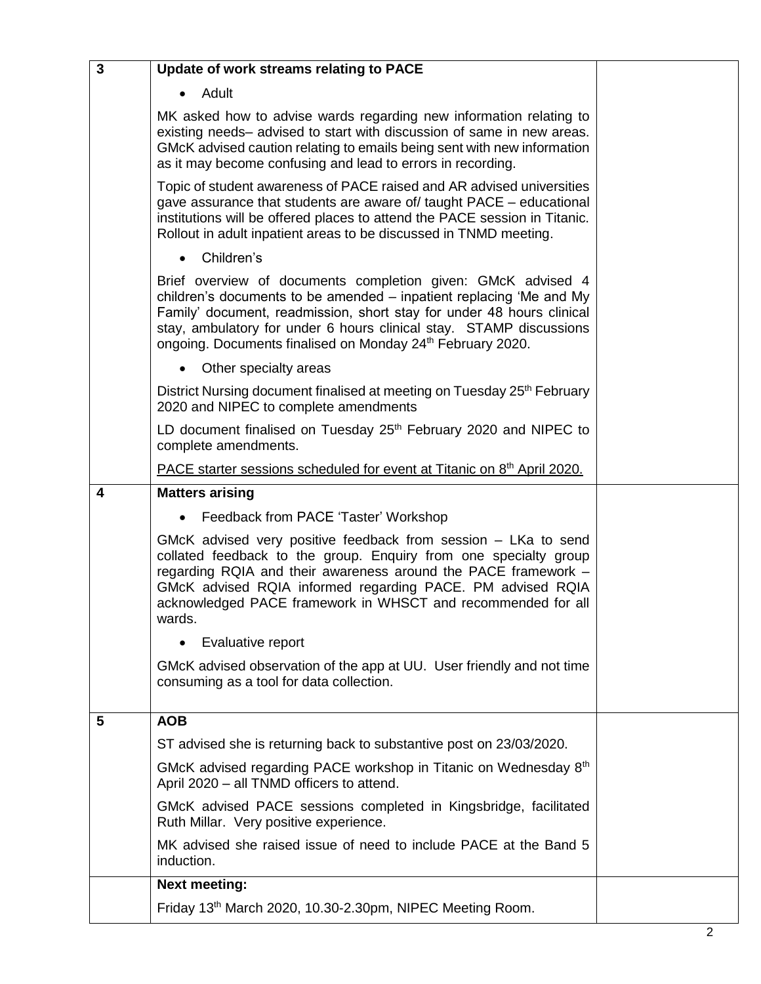| $\overline{\mathbf{3}}$ | Update of work streams relating to PACE                                                                                                                                                                                                                                                                                                                       |  |
|-------------------------|---------------------------------------------------------------------------------------------------------------------------------------------------------------------------------------------------------------------------------------------------------------------------------------------------------------------------------------------------------------|--|
|                         | Adult                                                                                                                                                                                                                                                                                                                                                         |  |
|                         | MK asked how to advise wards regarding new information relating to<br>existing needs- advised to start with discussion of same in new areas.<br>GMcK advised caution relating to emails being sent with new information<br>as it may become confusing and lead to errors in recording.                                                                        |  |
|                         | Topic of student awareness of PACE raised and AR advised universities<br>gave assurance that students are aware of/ taught PACE – educational<br>institutions will be offered places to attend the PACE session in Titanic.<br>Rollout in adult inpatient areas to be discussed in TNMD meeting.                                                              |  |
|                         | Children's                                                                                                                                                                                                                                                                                                                                                    |  |
|                         | Brief overview of documents completion given: GMcK advised 4<br>children's documents to be amended – inpatient replacing 'Me and My<br>Family' document, readmission, short stay for under 48 hours clinical<br>stay, ambulatory for under 6 hours clinical stay. STAMP discussions<br>ongoing. Documents finalised on Monday 24 <sup>th</sup> February 2020. |  |
|                         | Other specialty areas                                                                                                                                                                                                                                                                                                                                         |  |
|                         | District Nursing document finalised at meeting on Tuesday 25 <sup>th</sup> February<br>2020 and NIPEC to complete amendments                                                                                                                                                                                                                                  |  |
|                         | LD document finalised on Tuesday 25 <sup>th</sup> February 2020 and NIPEC to<br>complete amendments.                                                                                                                                                                                                                                                          |  |
|                         | PACE starter sessions scheduled for event at Titanic on 8 <sup>th</sup> April 2020.                                                                                                                                                                                                                                                                           |  |
| 4                       | <b>Matters arising</b>                                                                                                                                                                                                                                                                                                                                        |  |
|                         | Feedback from PACE 'Taster' Workshop                                                                                                                                                                                                                                                                                                                          |  |
|                         | GMcK advised very positive feedback from session - LKa to send<br>collated feedback to the group. Enquiry from one specialty group<br>regarding RQIA and their awareness around the PACE framework -<br>GMcK advised RQIA informed regarding PACE. PM advised RQIA<br>acknowledged PACE framework in WHSCT and recommended for all<br>wards.                  |  |
|                         | Evaluative report                                                                                                                                                                                                                                                                                                                                             |  |
|                         | GMcK advised observation of the app at UU. User friendly and not time<br>consuming as a tool for data collection.                                                                                                                                                                                                                                             |  |
| 5                       | <b>AOB</b>                                                                                                                                                                                                                                                                                                                                                    |  |
|                         | ST advised she is returning back to substantive post on 23/03/2020.                                                                                                                                                                                                                                                                                           |  |
|                         | GMcK advised regarding PACE workshop in Titanic on Wednesday 8th<br>April 2020 - all TNMD officers to attend.                                                                                                                                                                                                                                                 |  |
|                         | GMcK advised PACE sessions completed in Kingsbridge, facilitated<br>Ruth Millar. Very positive experience.                                                                                                                                                                                                                                                    |  |
|                         | MK advised she raised issue of need to include PACE at the Band 5<br>induction.                                                                                                                                                                                                                                                                               |  |
|                         | <b>Next meeting:</b>                                                                                                                                                                                                                                                                                                                                          |  |
|                         | Friday 13 <sup>th</sup> March 2020, 10.30-2.30pm, NIPEC Meeting Room.                                                                                                                                                                                                                                                                                         |  |